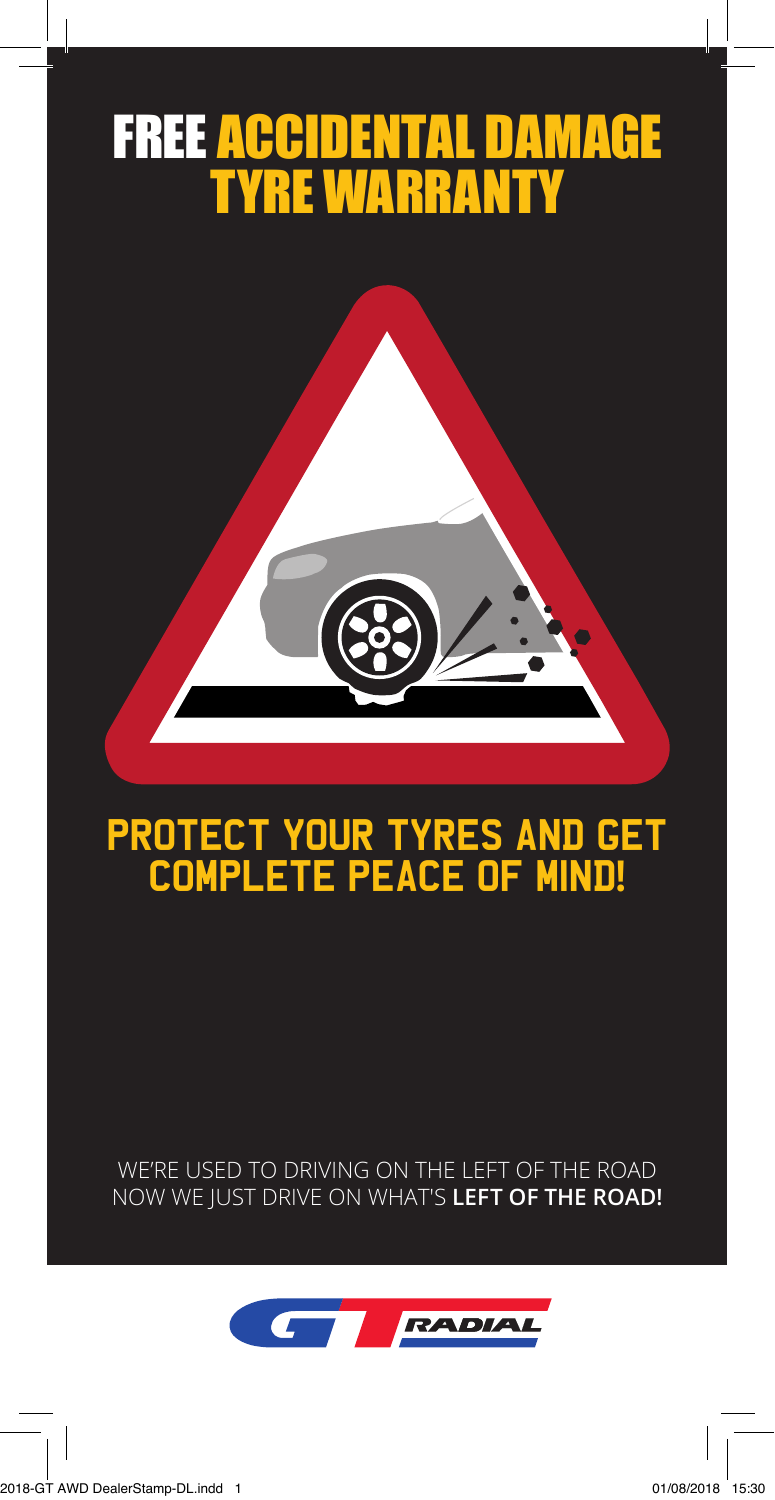# FREE ACCIDENTAL DAMAGE TYRE WARRANTY



# Protect your tyres and get complete peace of mind**!**

WE'RE USED TO DRIVING ON THE LEFT OF THE ROAD NOW WE JUST DRIVE ON WHAT'S **LEFT OF THE ROAD!**

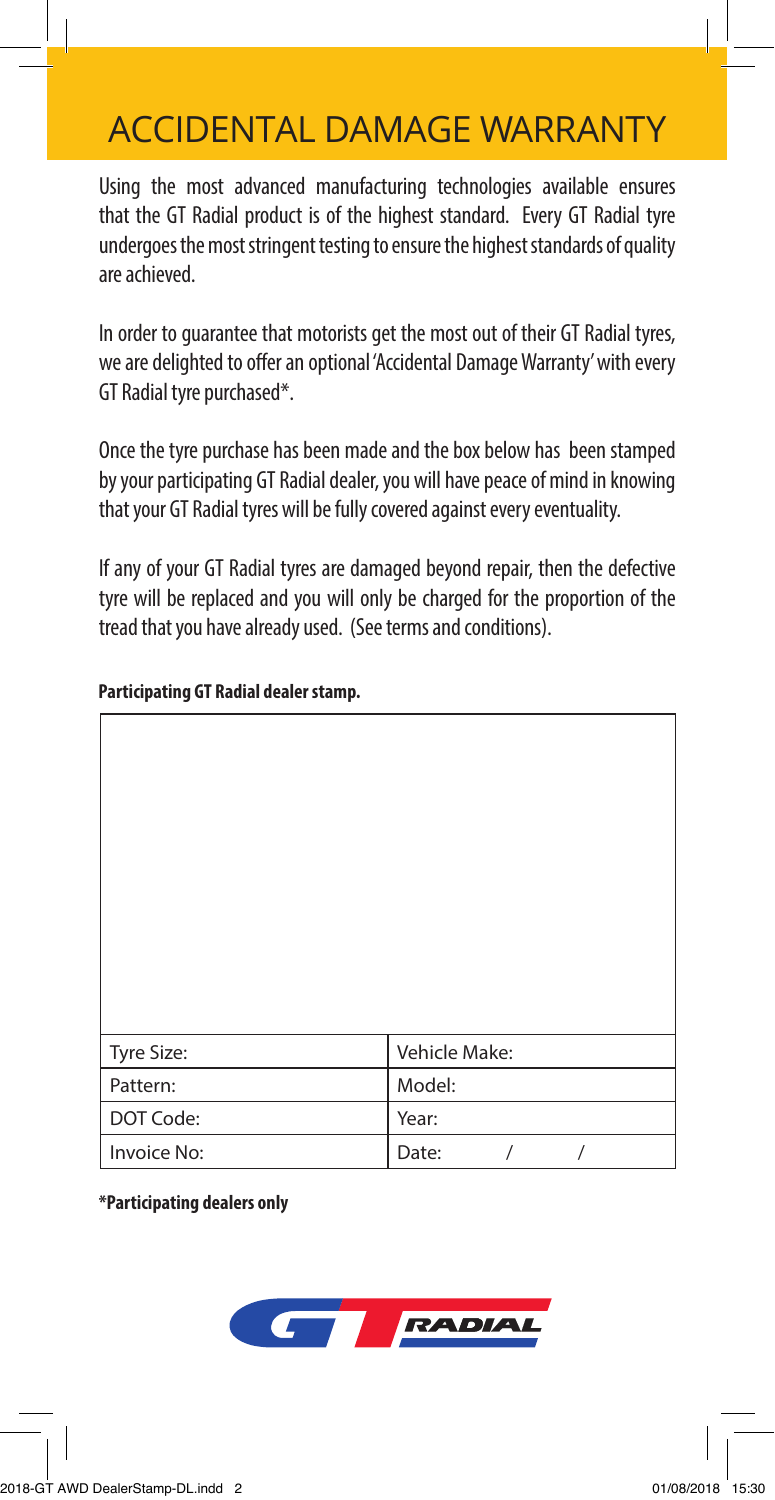### ACCIDENTAL DAMAGE WARRANTY

Using the most advanced manufacturing technologies available ensures that the GT Radial product is of the highest standard. Every GT Radial tyre undergoes the most stringent testing to ensure the highest standards of quality are achieved.

In order to guarantee that motorists get the most out of their GT Radial tyres, we are delighted to offer an optional 'Accidental Damage Warranty' with every GT Radial tyre purchased\*.

Once the tyre purchase has been made and the box below has been stamped by your participating GT Radial dealer, you will have peace of mind in knowing that your GT Radial tyres will be fully covered against every eventuality.

If any of your GT Radial tyres are damaged beyond repair, then the defective tyre will be replaced and you will only be charged for the proportion of the tread that you have already used. (See terms and conditions).

| Tyre Size:  | Vehicle Make:          |
|-------------|------------------------|
| Pattern:    | Model:                 |
| DOT Code:   | Year:                  |
| Invoice No: | Date:<br>$\prime$<br>1 |

### **Participating GT Radial dealer stamp.**

**\*Participating dealers only**

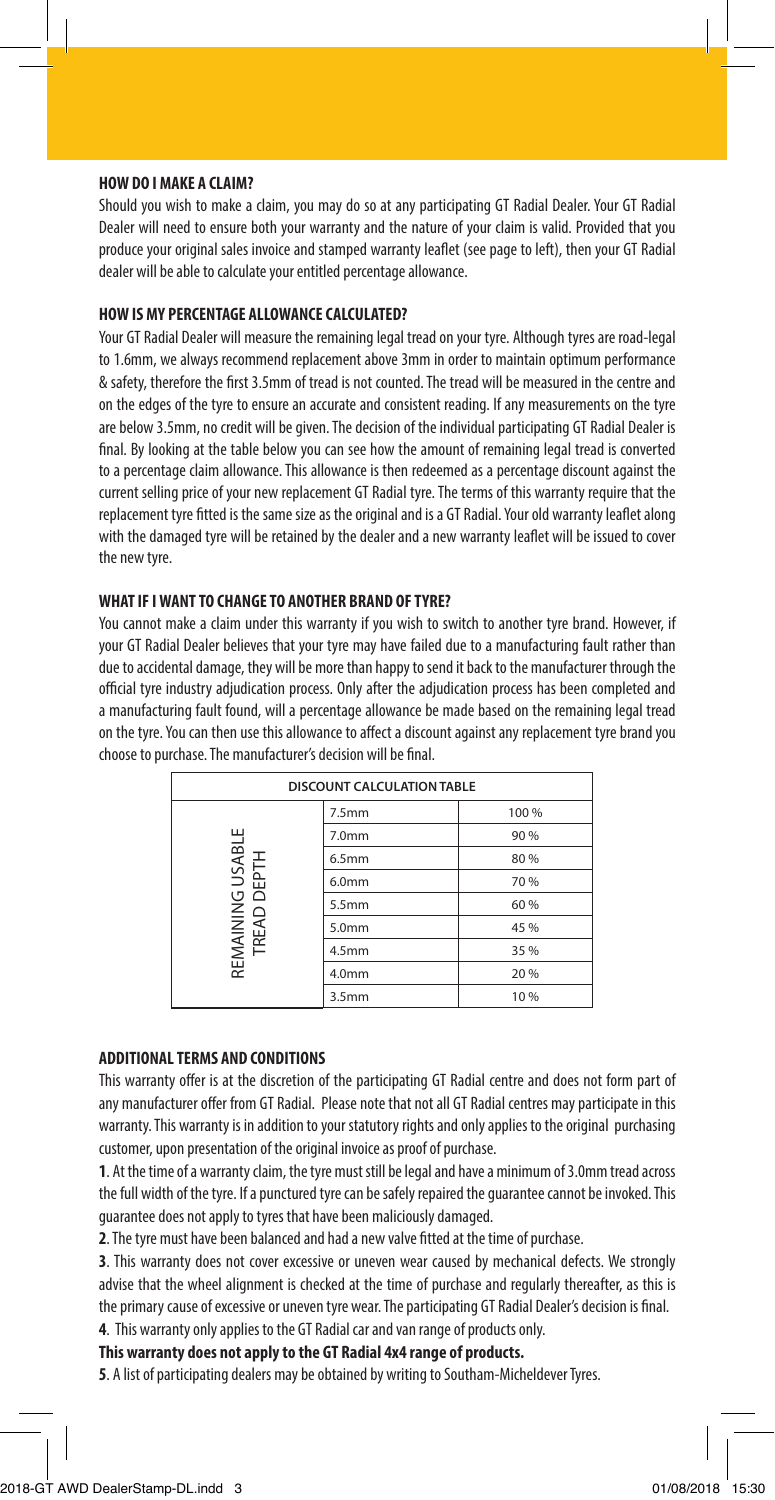#### **HOW DO I MAKE A CLAIM?**

Should you wish to make a claim, you may do so at any participating GT Radial Dealer. Your GT Radial Dealer will need to ensure both your warranty and the nature of your claim is valid. Provided that you produce your original sales invoice and stamped warranty leaflet (see page to left), then your GT Radial dealer will be able to calculate your entitled percentage allowance.

#### **HOW IS MY PERCENTAGE ALLOWANCE CALCULATED?**

Your GT Radial Dealer will measure the remaining legal tread on your tyre. Although tyres are road-legal to 1.6mm, we always recommend replacement above 3mm in order to maintain optimum performance & safety, therefore the first 3.5mm of tread is not counted. The tread will be measured in the centre and on the edges of the tyre to ensure an accurate and consistent reading. If any measurements on the tyre are below 3.5mm, no credit will be given. The decision of the individual participating GT Radial Dealer is final. By looking at the table below you can see how the amount of remaining legal tread is converted to a percentage claim allowance. This allowance is then redeemed as a percentage discount against the current selling price of your new replacement GT Radial tyre. The terms of this warranty require that the replacement tyre fitted is the same size as the original and is a GT Radial. Your old warranty leaflet along with the damaged tyre will be retained by the dealer and a new warranty leaflet will be issued to cover the new tyre.

#### **WHAT IF I WANT TO CHANGE TO ANOTHER BRAND OF TYRE?**

You cannot make a claim under this warranty if you wish to switch to another tyre brand. However, if your GT Radial Dealer believes that your tyre may have failed due to a manufacturing fault rather than due to accidental damage, they will be more than happy to send it back to the manufacturer through the official tyre industry adjudication process. Only after the adjudication process has been completed and a manufacturing fault found, will a percentage allowance be made based on the remaining legal tread on the tyre. You can then use this allowance to affect a discount against any replacement tyre brand you choose to purchase. The manufacturer's decision will be final.

| <b>DISCOUNT CALCULATION TABLE</b> |                   |       |
|-----------------------------------|-------------------|-------|
|                                   | 7.5 <sub>mm</sub> | 100 % |
| REMAINING USABLE<br>TREAD DEPTH   | 7.0mm             | 90 %  |
|                                   | 6.5mm             | 80 %  |
|                                   | 6.0 <sub>mm</sub> | 70 %  |
|                                   | 5.5mm             | 60 %  |
|                                   | 5.0mm             | 45 %  |
|                                   | 4.5 <sub>mm</sub> | 35 %  |
|                                   | 4.0 <sub>mm</sub> | 20 %  |
|                                   | 3.5 <sub>mm</sub> | 10%   |

#### **ADDITIONAL TERMS AND CONDITIONS**

This warranty offer is at the discretion of the participating GT Radial centre and does not form part of any manufacturer offer from GT Radial. Please note that not all GT Radial centres may participate in this warranty. This warranty is in addition to your statutory rights and only applies to the original purchasing customer, upon presentation of the original invoice as proof of purchase.

**1**. At the time of a warranty claim, the tyre must still be legal and have a minimum of 3.0mm tread across the full width of the tyre. If a punctured tyre can be safely repaired the guarantee cannot be invoked. This guarantee does not apply to tyres that have been maliciously damaged.

**2**. The tyre must have been balanced and had a new valve fitted at the time of purchase.

**3**. This warranty does not cover excessive or uneven wear caused by mechanical defects. We strongly advise that the wheel alignment is checked at the time of purchase and regularly thereafter, as this is the primary cause of excessive or uneven tyre wear. The participating GT Radial Dealer's decision is final. **4**. This warranty only applies to the GT Radial car and van range of products only.

**This warranty does not apply to the GT Radial 4x4 range of products.**

**5**. A list of participating dealers may be obtained by writing to Southam-Micheldever Tyres.